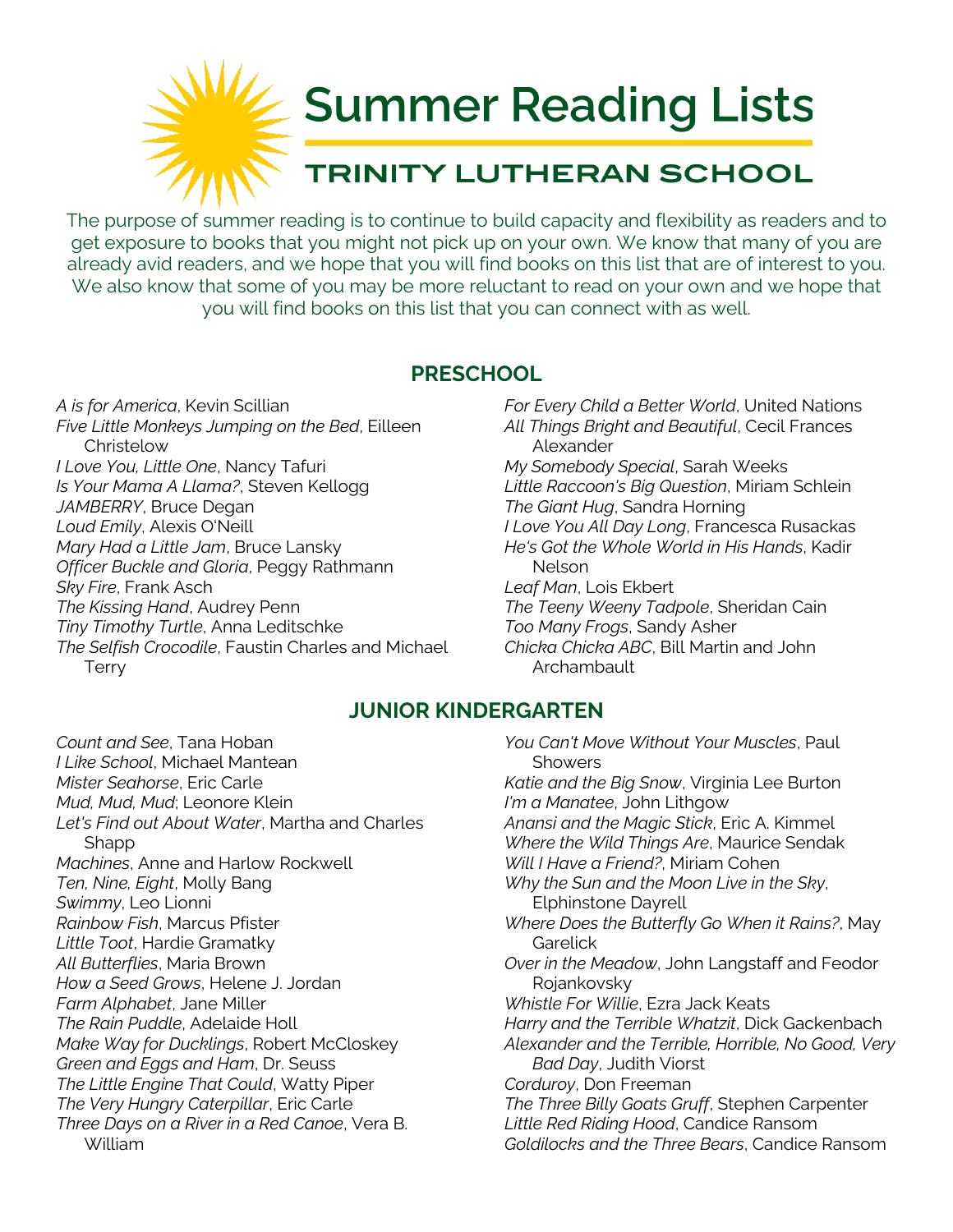

The purpose of summer reading is to continue to build capacity and flexibility as readers and to get exposure to books that you might not pick up on your own. We know that many of you are already avid readers, and we hope that you will find books on this list that are of interest to you. We also know that some of you may be more reluctant to read on your own and we hope that you will find books on this list that you can connect with as well.

### **PRESCHOOL**

*A is for America*, Kevin Scillian *Five Little Monkeys Jumping on the Bed*, Eilleen **Christelow** *I Love You, Little One*, Nancy Tafuri *Is Your Mama A Llama?*, Steven Kellogg *JAMBERRY*, Bruce Degan *Loud Emily*, Alexis O'Neill *Mary Had a Little Jam*, Bruce Lansky *Officer Buckle and Gloria*, Peggy Rathmann *Sky Fire*, Frank Asch *The Kissing Hand*, Audrey Penn *Tiny Timothy Turtle*, Anna Leditschke *The Selfish Crocodile*, Faustin Charles and Michael **Terry** 

*For Every Child a Better World*, United Nations *All Things Bright and Beautiful*, Cecil Frances Alexander *My Somebody Special*, Sarah Weeks *Little Raccoon's Big Question*, Miriam Schlein *The Giant Hug*, Sandra Horning *I Love You All Day Long*, Francesca Rusackas *He's Got the Whole World in His Hands*, Kadir Nelson *Leaf Man*, Lois Ekbert *The Teeny Weeny Tadpole*, Sheridan Cain *Too Many Frogs*, Sandy Asher *Chicka Chicka ABC*, Bill Martin and John Archambault

# **JUNIOR KINDERGARTEN**

*Count and See*, Tana Hoban *I Like School*, Michael Mantean *Mister Seahorse*, Eric Carle *Mud, Mud, Mud*; Leonore Klein *Let's Find out About Water*, Martha and Charles Shapp *Machines*, Anne and Harlow Rockwell *Ten, Nine, Eight*, Molly Bang *Swimmy*, Leo Lionni *Rainbow Fish*, Marcus Pfister *Little Toot*, Hardie Gramatky *All Butterflies*, Maria Brown *How a Seed Grows*, Helene J. Jordan *Farm Alphabet*, Jane Miller *The Rain Puddle*, Adelaide Holl *Make Way for Ducklings*, Robert McCloskey *Green and Eggs and Ham*, Dr. Seuss *The Little Engine That Could*, Watty Piper *The Very Hungry Caterpillar*, Eric Carle *Three Days on a River in a Red Canoe*, Vera B. William

*You Can't Move Without Your Muscles*, Paul **Showers** *Katie and the Big Snow*, Virginia Lee Burton *I'm a Manatee*, John Lithgow *Anansi and the Magic Stick*, Eric A. Kimmel *Where the Wild Things Are*, Maurice Sendak *Will I Have a Friend?*, Miriam Cohen *Why the Sun and the Moon Live in the Sky*, Elphinstone Dayrell *Where Does the Butterfly Go When it Rains?*, May **Garelick** *Over in the Meadow*, John Langstaff and Feodor Rojankovsky *Whistle For Willie*, Ezra Jack Keats *Harry and the Terrible Whatzit*, Dick Gackenbach *Alexander and the Terrible, Horrible, No Good, Very Bad Day*, Judith Viorst *Corduroy*, Don Freeman *The Three Billy Goats Gruff*, Stephen Carpenter *Little Red Riding Hood*, Candice Ransom *Goldilocks and the Three Bears*, Candice Ransom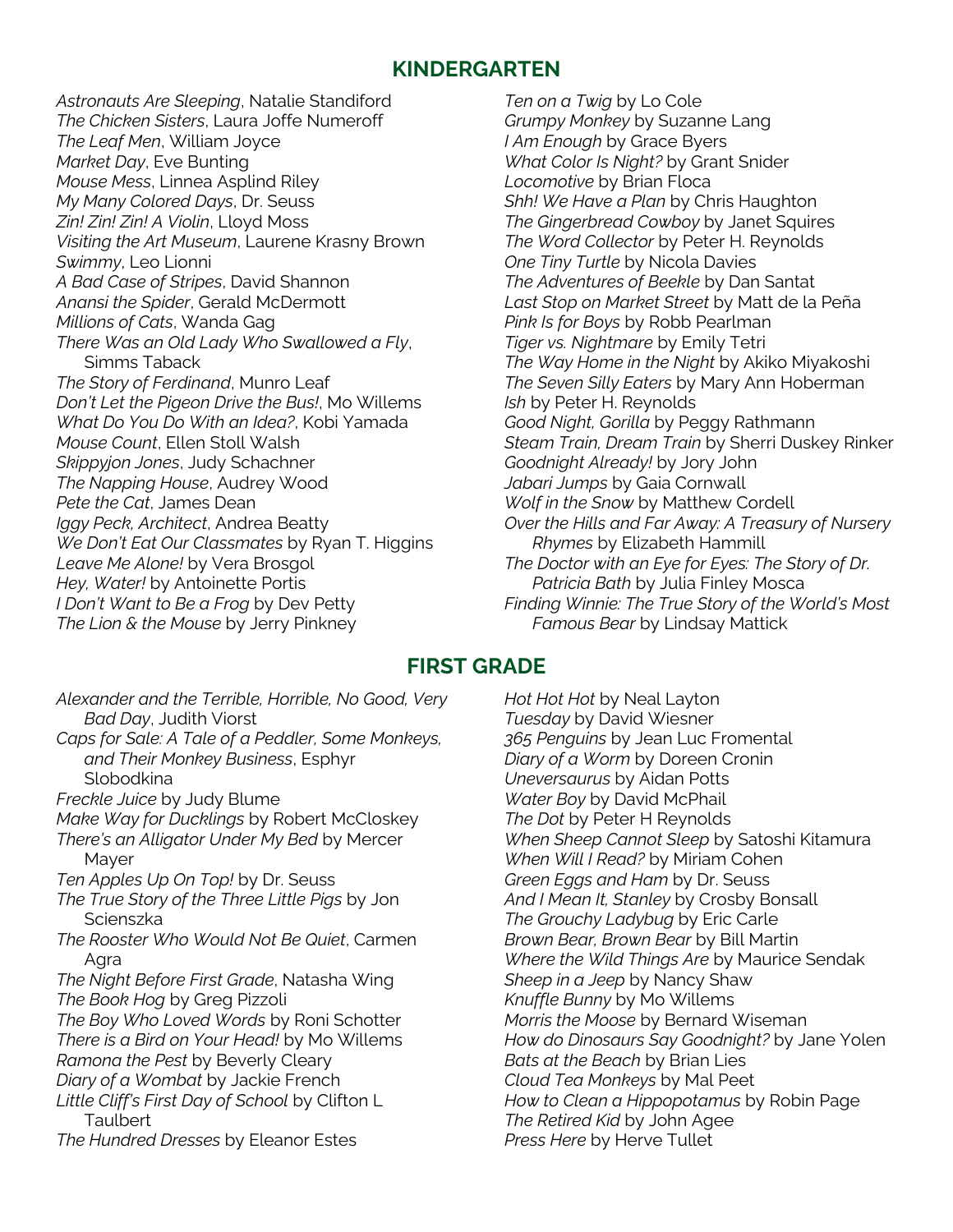## **KINDERGARTEN**

*Astronauts Are Sleeping*, Natalie Standiford *The Chicken Sisters*, Laura Joffe Numeroff *The Leaf Men*, William Joyce *Market Day*, Eve Bunting *Mouse Mess*, Linnea Asplind Riley *My Many Colored Days*, Dr. Seuss *Zin! Zin! Zin! A Violin*, Lloyd Moss *Visiting the Art Museum*, Laurene Krasny Brown *Swimmy*, Leo Lionni *A Bad Case of Stripes*, David Shannon *Anansi the Spider*, Gerald McDermott *Millions of Cats*, Wanda Gag *There Was an Old Lady Who Swallowed a Fly*, Simms Taback *The Story of Ferdinand*, Munro Leaf *Don't Let the Pigeon Drive the Bus!*, Mo Willems *What Do You Do With an Idea?*, Kobi Yamada *Mouse Count*, Ellen Stoll Walsh *Skippyjon Jones*, Judy Schachner *The Napping House*, Audrey Wood *Pete the Cat*, James Dean *Iggy Peck, Architect*, Andrea Beatty *We Don't Eat Our Classmates* by Ryan T. Higgins *Leave Me Alone!* by Vera Brosgol *Hey, Water!* by Antoinette Portis *I Don't Want to Be a Frog* by Dev Petty *The Lion & the Mouse* by Jerry Pinkney

*Ten on a Twig* by Lo Cole *Grumpy Monkey* by Suzanne Lang *I Am Enough* by Grace Byers *What Color Is Night?* by Grant Snider *Locomotive* by Brian Floca *Shh! We Have a Plan* by Chris Haughton *The Gingerbread Cowboy* by Janet Squires *The Word Collector* by Peter H. Reynolds *One Tiny Turtle* by Nicola Davies *The Adventures of Beekle* by Dan Santat *Last Stop on Market Street* by Matt de la Peña *Pink Is for Boys* by Robb Pearlman *Tiger vs. Nightmare* by Emily Tetri *The Way Home in the Night* by Akiko Miyakoshi *The Seven Silly Eaters* by Mary Ann Hoberman *Ish* by Peter H. Reynolds *Good Night, Gorilla* by Peggy Rathmann *Steam Train, Dream Train* by Sherri Duskey Rinker *Goodnight Already!* by Jory John *Jabari Jumps* by Gaia Cornwall *Wolf in the Snow* by Matthew Cordell *Over the Hills and Far Away: A Treasury of Nursery Rhymes* by Elizabeth Hammill *The Doctor with an Eye for Eyes: The Story of Dr. Patricia Bath* by Julia Finley Mosca *Finding Winnie: The True Story of the World's Most Famous Bear* by Lindsay Mattick

#### **FIRST GRADE**

*Alexander and the Terrible, Horrible, No Good, Very Bad Day*, Judith Viorst *Caps for Sale: A Tale of a Peddler, Some Monkeys, and Their Monkey Business*, Esphyr Slobodkina *Freckle Juice* by Judy Blume *Make Way for Ducklings* by Robert McCloskey *There's an Alligator Under My Bed* by Mercer Mayer *Ten Apples Up On Top!* by Dr. Seuss *The True Story of the Three Little Pigs* by Jon Scienszka *The Rooster Who Would Not Be Quiet*, Carmen Agra *The Night Before First Grade*, Natasha Wing *The Book Hog* by Greg Pizzoli *The Boy Who Loved Words* by Roni Schotter *There is a Bird on Your Head!* by Mo Willems *Ramona the Pest* by Beverly Cleary *Diary of a Wombat* by Jackie French *Little Cliff's First Day of School* by Clifton L **Taulbert** *The Hundred Dresses* by Eleanor Estes

*Hot Hot Hot* by Neal Layton *Tuesday* by David Wiesner *365 Penguins* by Jean Luc Fromental *Diary of a Worm* by Doreen Cronin *Uneversaurus* by Aidan Potts *Water Boy* by David McPhail *The Dot* by Peter H Reynolds *When Sheep Cannot Sleep* by Satoshi Kitamura *When Will I Read?* by Miriam Cohen *Green Eggs and Ham* by Dr. Seuss *And I Mean It, Stanley* by Crosby Bonsall *The Grouchy Ladybug* by Eric Carle *Brown Bear, Brown Bear* by Bill Martin *Where the Wild Things Are* by Maurice Sendak *Sheep in a Jeep* by Nancy Shaw *Knuffle Bunny* by Mo Willems *Morris the Moose* by Bernard Wiseman *How do Dinosaurs Say Goodnight?* by Jane Yolen *Bats at the Beach* by Brian Lies *Cloud Tea Monkeys* by Mal Peet *How to Clean a Hippopotamus* by Robin Page *The Retired Kid* by John Agee *Press Here* by Herve Tullet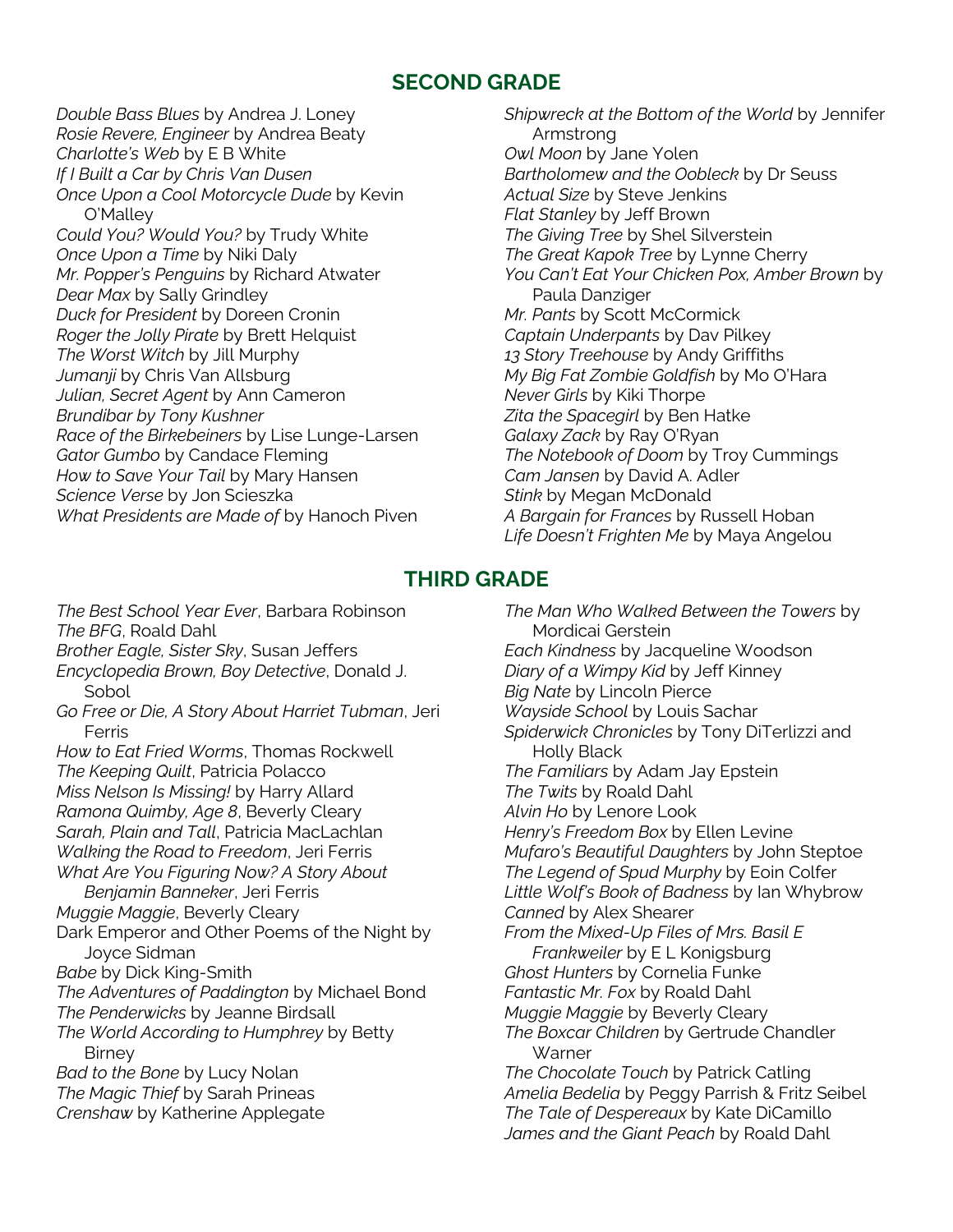## **SECOND GRADE**

*Double Bass Blues* by Andrea J. Loney *Rosie Revere, Engineer* by Andrea Beaty *Charlotte's Web* by E B White *If I Built a Car by Chris Van Dusen Once Upon a Cool Motorcycle Dude* by Kevin O'Malley *Could You? Would You?* by Trudy White *Once Upon a Time* by Niki Daly *Mr. Popper's Penguins* by Richard Atwater *Dear Max* by Sally Grindley *Duck for President* by Doreen Cronin *Roger the Jolly Pirate* by Brett Helquist *The Worst Witch* by Jill Murphy *Jumanji* by Chris Van Allsburg *Julian, Secret Agent* by Ann Cameron *Brundibar by Tony Kushner Race of the Birkebeiners* by Lise Lunge-Larsen *Gator Gumbo* by Candace Fleming *How to Save Your Tail* by Mary Hansen *Science Verse* by Jon Scieszka *What Presidents are Made of* by Hanoch Piven

*Shipwreck at the Bottom of the World* by Jennifer Armstrong *Owl Moon* by Jane Yolen *Bartholomew and the Oobleck* by Dr Seuss *Actual Size* by Steve Jenkins *Flat Stanley* by Jeff Brown *The Giving Tree* by Shel Silverstein *The Great Kapok Tree* by Lynne Cherry *You Can't Eat Your Chicken Pox, Amber Brown* by Paula Danziger *Mr. Pants* by Scott McCormick *Captain Underpants* by Dav Pilkey *13 Story Treehouse* by Andy Griffiths *My Big Fat Zombie Goldfish* by Mo O'Hara *Never Girls* by Kiki Thorpe *Zita the Spacegirl* by Ben Hatke *Galaxy Zack* by Ray O'Ryan *The Notebook of Doom* by Troy Cummings *Cam Jansen* by David A. Adler *Stink* by Megan McDonald *A Bargain for Frances* by Russell Hoban *Life Doesn't Frighten Me* by Maya Angelou

# **THIRD GRADE**

*The Best School Year Ever*, Barbara Robinson *The BFG*, Roald Dahl *Brother Eagle, Sister Sky*, Susan Jeffers *Encyclopedia Brown, Boy Detective*, Donald J. Sobol *Go Free or Die, A Story About Harriet Tubman*, Jeri Ferris *How to Eat Fried Worms*, Thomas Rockwell *The Keeping Quilt*, Patricia Polacco *Miss Nelson Is Missing!* by Harry Allard *Ramona Quimby, Age 8*, Beverly Cleary *Sarah, Plain and Tall*, Patricia MacLachlan *Walking the Road to Freedom*, Jeri Ferris *What Are You Figuring Now? A Story About Benjamin Banneker*, Jeri Ferris *Muggie Maggie*, Beverly Cleary Dark Emperor and Other Poems of the Night by Joyce Sidman *Babe* by Dick King-Smith *The Adventures of Paddington* by Michael Bond *The Penderwicks* by Jeanne Birdsall *The World According to Humphrey* by Betty Birney *Bad to the Bone* by Lucy Nolan *The Magic Thief* by Sarah Prineas *Crenshaw* by Katherine Applegate

*The Man Who Walked Between the Towers* by Mordicai Gerstein *Each Kindness* by Jacqueline Woodson *Diary of a Wimpy Kid* by Jeff Kinney *Big Nate* by Lincoln Pierce *Wayside School* by Louis Sachar *Spiderwick Chronicles* by Tony DiTerlizzi and Holly Black *The Familiars* by Adam Jay Epstein *The Twits* by Roald Dahl *Alvin Ho* by Lenore Look *Henry's Freedom Box* by Ellen Levine *Mufaro's Beautiful Daughters* by John Steptoe *The Legend of Spud Murphy* by Eoin Colfer *Little Wolf's Book of Badness* by Ian Whybrow *Canned* by Alex Shearer *From the Mixed-Up Files of Mrs. Basil E Frankweiler* by E L Konigsburg *Ghost Hunters* by Cornelia Funke *Fantastic Mr. Fox* by Roald Dahl *Muggie Maggie* by Beverly Cleary *The Boxcar Children* by Gertrude Chandler **Warner** *The Chocolate Touch* by Patrick Catling *Amelia Bedelia* by Peggy Parrish & Fritz Seibel *The Tale of Despereaux* by Kate DiCamillo *James and the Giant Peach* by Roald Dahl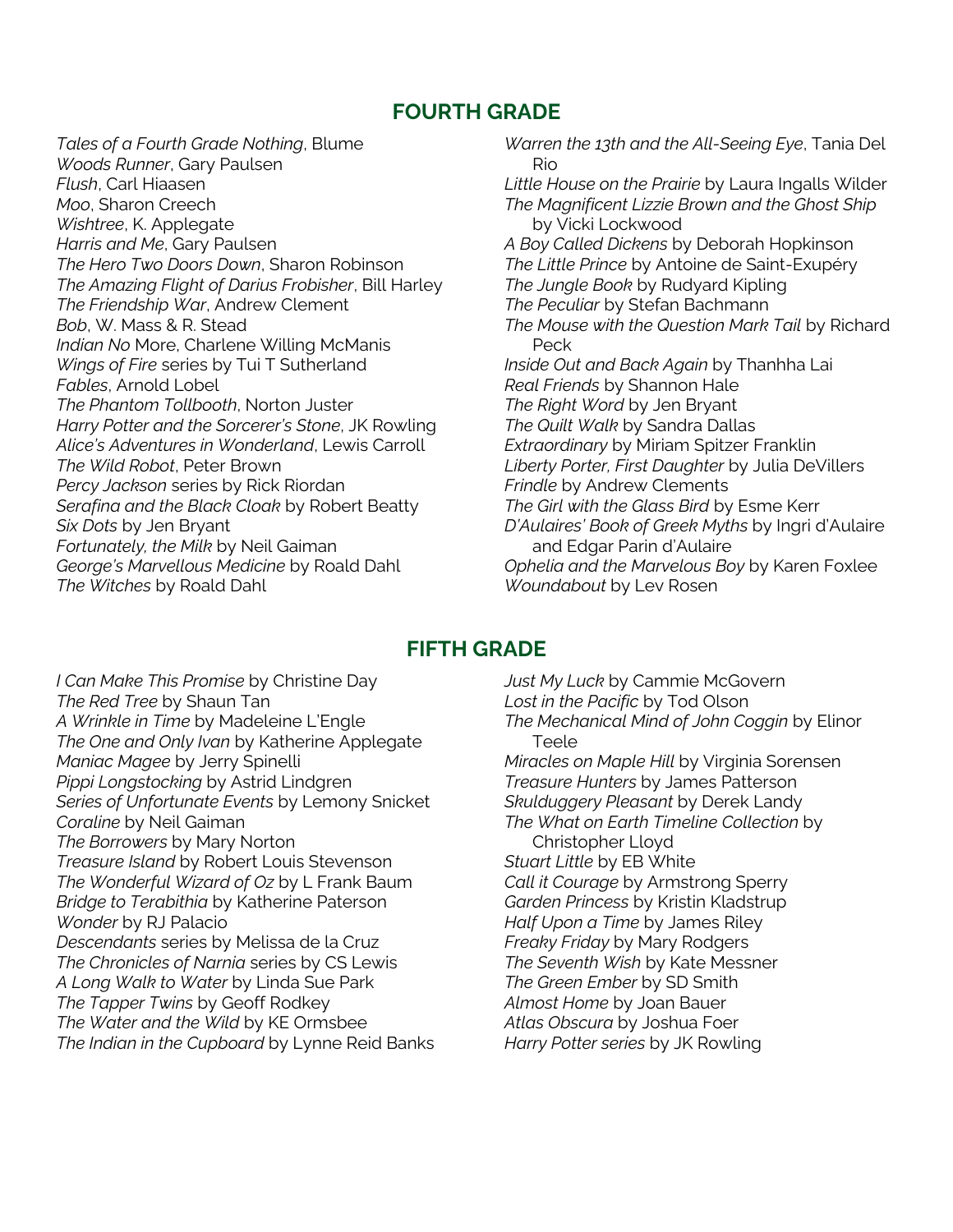## **FOURTH GRADE**

*Tales of a Fourth Grade Nothing*, Blume *Woods Runner*, Gary Paulsen *Flush*, Carl Hiaasen *Moo*, Sharon Creech *Wishtree*, K. Applegate *Harris and Me*, Gary Paulsen *The Hero Two Doors Down*, Sharon Robinson *The Amazing Flight of Darius Frobisher*, Bill Harley *The Friendship War*, Andrew Clement *Bob*, W. Mass & R. Stead *Indian No* More, Charlene Willing McManis *Wings of Fire* series by Tui T Sutherland *Fables*, Arnold Lobel *The Phantom Tollbooth*, Norton Juster *Harry Potter and the Sorcerer's Stone*, JK Rowling *Alice's Adventures in Wonderland*, Lewis Carroll *The Wild Robot*, Peter Brown *Percy Jackson* series by Rick Riordan *Serafina and the Black Cloak* by Robert Beatty *Six Dots* by Jen Bryant *Fortunately, the Milk* by Neil Gaiman *George's Marvellous Medicine* by Roald Dahl *The Witches* by Roald Dahl

*Warren the 13th and the All-Seeing Eye*, Tania Del Rio *Little House on the Prairie* by Laura Ingalls Wilder *The Magnificent Lizzie Brown and the Ghost Ship*  by Vicki Lockwood *A Boy Called Dickens* by Deborah Hopkinson *The Little Prince* by Antoine de Saint-Exupéry *The Jungle Book* by Rudyard Kipling *The Peculiar* by Stefan Bachmann *The Mouse with the Question Mark Tail* by Richard Peck *Inside Out and Back Again* by Thanhha Lai *Real Friends* by Shannon Hale *The Right Word* by Jen Bryant *The Quilt Walk* by Sandra Dallas *Extraordinary* by Miriam Spitzer Franklin *Liberty Porter, First Daughter* by Julia DeVillers *Frindle* by Andrew Clements *The Girl with the Glass Bird* by Esme Kerr *D'Aulaires' Book of Greek Myths* by Ingri d'Aulaire and Edgar Parin d'Aulaire *Ophelia and the Marvelous Boy* by Karen Foxlee *Woundabout* by Lev Rosen

## **FIFTH GRADE**

*I Can Make This Promise* by Christine Day *The Red Tree* by Shaun Tan *A Wrinkle in Time* by Madeleine L'Engle *The One and Only Ivan* by Katherine Applegate *Maniac Magee* by Jerry Spinelli *Pippi Longstocking* by Astrid Lindgren *Series of Unfortunate Events* by Lemony Snicket *Coraline* by Neil Gaiman *The Borrowers* by Mary Norton *Treasure Island* by Robert Louis Stevenson *The Wonderful Wizard of Oz* by L Frank Baum *Bridge to Terabithia* by Katherine Paterson *Wonder* by RJ Palacio *Descendants* series by Melissa de la Cruz *The Chronicles of Narnia* series by CS Lewis *A Long Walk to Water* by Linda Sue Park *The Tapper Twins* by Geoff Rodkey *The Water and the Wild* by KE Ormsbee *The Indian in the Cupboard* by Lynne Reid Banks

*Just My Luck* by Cammie McGovern *Lost in the Pacific* by Tod Olson *The Mechanical Mind of John Coggin* by Elinor Teele *Miracles on Maple Hill* by Virginia Sorensen *Treasure Hunters* by James Patterson *Skulduggery Pleasant* by Derek Landy *The What on Earth Timeline Collection* by Christopher Lloyd *Stuart Little* by EB White *Call it Courage* by Armstrong Sperry *Garden Princess* by Kristin Kladstrup *Half Upon a Time* by James Riley *Freaky Friday* by Mary Rodgers *The Seventh Wish* by Kate Messner *The Green Ember* by SD Smith *Almost Home* by Joan Bauer *Atlas Obscura* by Joshua Foer *Harry Potter series* by JK Rowling